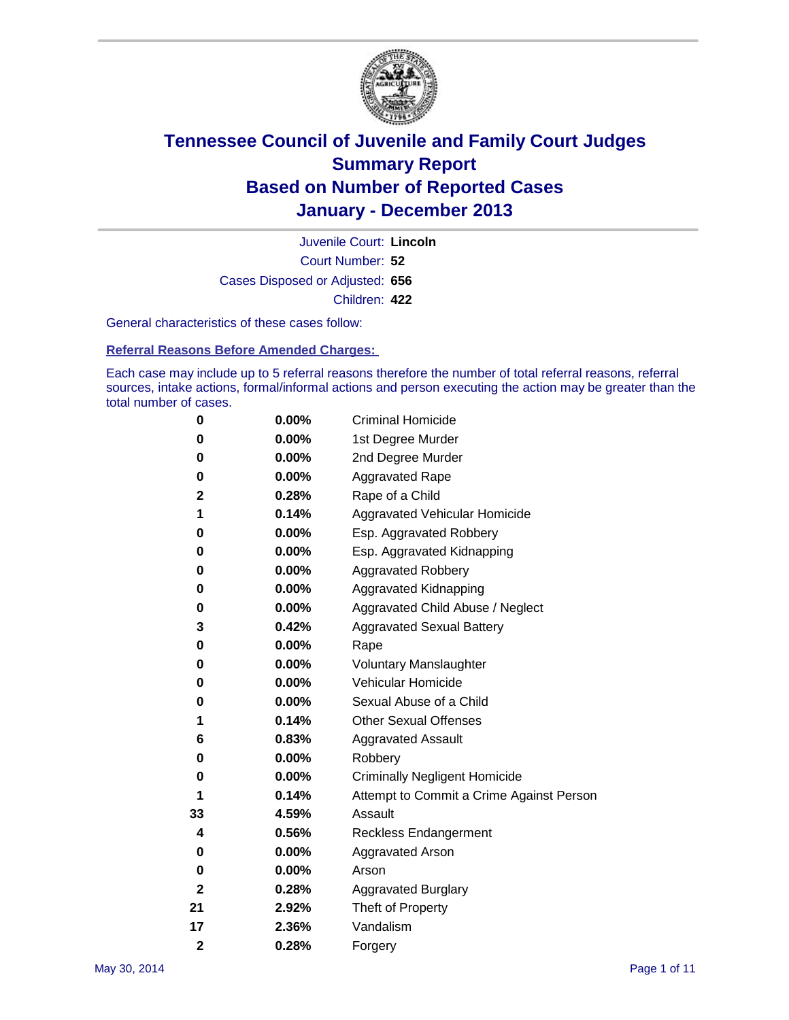

Court Number: **52** Juvenile Court: **Lincoln** Cases Disposed or Adjusted: **656** Children: **422**

General characteristics of these cases follow:

**Referral Reasons Before Amended Charges:** 

Each case may include up to 5 referral reasons therefore the number of total referral reasons, referral sources, intake actions, formal/informal actions and person executing the action may be greater than the total number of cases.

| 0              | $0.00\%$ | <b>Criminal Homicide</b>                 |
|----------------|----------|------------------------------------------|
| 0              | 0.00%    | 1st Degree Murder                        |
| 0              | 0.00%    | 2nd Degree Murder                        |
| 0              | $0.00\%$ | <b>Aggravated Rape</b>                   |
| 2              | 0.28%    | Rape of a Child                          |
| 1              | 0.14%    | Aggravated Vehicular Homicide            |
| 0              | 0.00%    | Esp. Aggravated Robbery                  |
| 0              | 0.00%    | Esp. Aggravated Kidnapping               |
| 0              | $0.00\%$ | <b>Aggravated Robbery</b>                |
| 0              | 0.00%    | Aggravated Kidnapping                    |
| 0              | 0.00%    | Aggravated Child Abuse / Neglect         |
| 3              | 0.42%    | <b>Aggravated Sexual Battery</b>         |
| 0              | 0.00%    | Rape                                     |
| 0              | 0.00%    | <b>Voluntary Manslaughter</b>            |
| 0              | 0.00%    | Vehicular Homicide                       |
| 0              | 0.00%    | Sexual Abuse of a Child                  |
| 1              | 0.14%    | <b>Other Sexual Offenses</b>             |
| 6              | 0.83%    | <b>Aggravated Assault</b>                |
| 0              | 0.00%    | Robbery                                  |
| 0              | $0.00\%$ | <b>Criminally Negligent Homicide</b>     |
| 1              | 0.14%    | Attempt to Commit a Crime Against Person |
| 33             | 4.59%    | Assault                                  |
| 4              | 0.56%    | <b>Reckless Endangerment</b>             |
| 0              | 0.00%    | <b>Aggravated Arson</b>                  |
| 0              | $0.00\%$ | Arson                                    |
| $\mathbf{2}$   | 0.28%    | <b>Aggravated Burglary</b>               |
| 21             | 2.92%    | Theft of Property                        |
| 17             | 2.36%    | Vandalism                                |
| $\overline{2}$ | 0.28%    | Forgery                                  |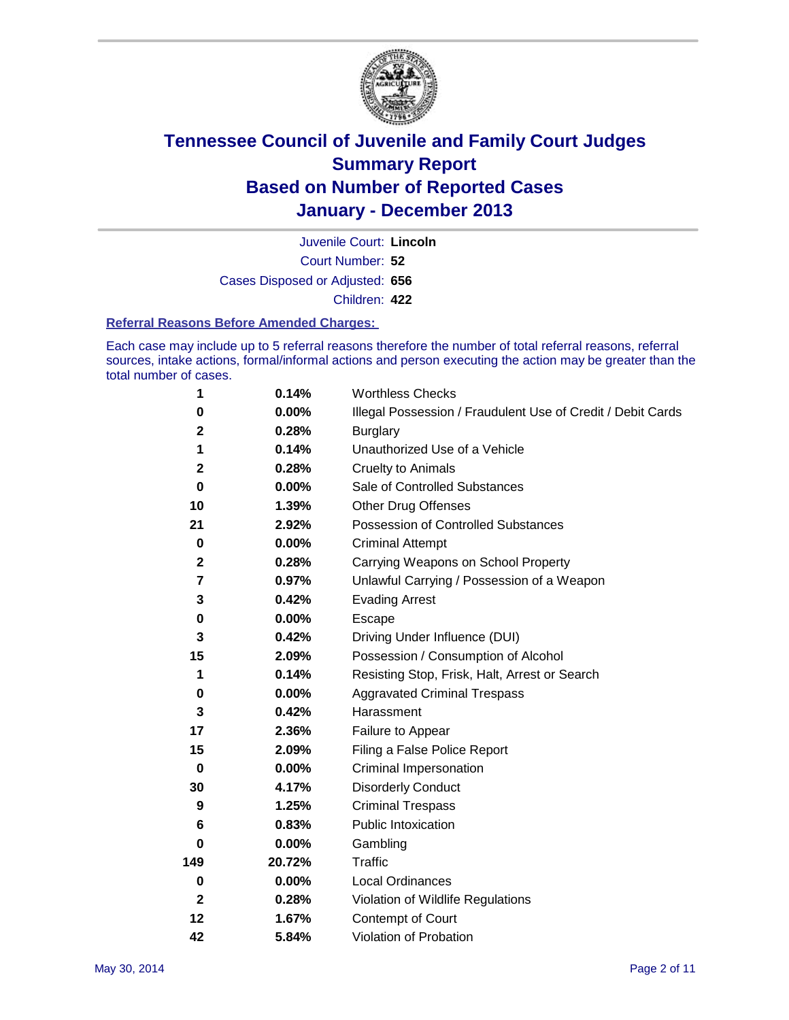

Court Number: **52** Juvenile Court: **Lincoln** Cases Disposed or Adjusted: **656** Children: **422**

#### **Referral Reasons Before Amended Charges:**

Each case may include up to 5 referral reasons therefore the number of total referral reasons, referral sources, intake actions, formal/informal actions and person executing the action may be greater than the total number of cases.

| 1            | 0.14%    | <b>Worthless Checks</b>                                     |
|--------------|----------|-------------------------------------------------------------|
| 0            | 0.00%    | Illegal Possession / Fraudulent Use of Credit / Debit Cards |
| 2            | 0.28%    | <b>Burglary</b>                                             |
| 1            | 0.14%    | Unauthorized Use of a Vehicle                               |
| $\mathbf 2$  | 0.28%    | <b>Cruelty to Animals</b>                                   |
| $\bf{0}$     | $0.00\%$ | Sale of Controlled Substances                               |
| 10           | 1.39%    | <b>Other Drug Offenses</b>                                  |
| 21           | 2.92%    | Possession of Controlled Substances                         |
| $\pmb{0}$    | $0.00\%$ | <b>Criminal Attempt</b>                                     |
| $\mathbf 2$  | 0.28%    | Carrying Weapons on School Property                         |
| 7            | 0.97%    | Unlawful Carrying / Possession of a Weapon                  |
| 3            | 0.42%    | <b>Evading Arrest</b>                                       |
| 0            | 0.00%    | Escape                                                      |
| 3            | 0.42%    | Driving Under Influence (DUI)                               |
| 15           | 2.09%    | Possession / Consumption of Alcohol                         |
| 1            | 0.14%    | Resisting Stop, Frisk, Halt, Arrest or Search               |
| 0            | $0.00\%$ | <b>Aggravated Criminal Trespass</b>                         |
| 3            | 0.42%    | Harassment                                                  |
| 17           | 2.36%    | Failure to Appear                                           |
| 15           | 2.09%    | Filing a False Police Report                                |
| $\bf{0}$     | $0.00\%$ | Criminal Impersonation                                      |
| 30           | 4.17%    | <b>Disorderly Conduct</b>                                   |
| 9            | 1.25%    | <b>Criminal Trespass</b>                                    |
| 6            | 0.83%    | <b>Public Intoxication</b>                                  |
| 0            | 0.00%    | Gambling                                                    |
| 149          | 20.72%   | Traffic                                                     |
| $\bf{0}$     | $0.00\%$ | <b>Local Ordinances</b>                                     |
| $\mathbf{2}$ | 0.28%    | Violation of Wildlife Regulations                           |
| 12           | 1.67%    | Contempt of Court                                           |
| 42           | 5.84%    | Violation of Probation                                      |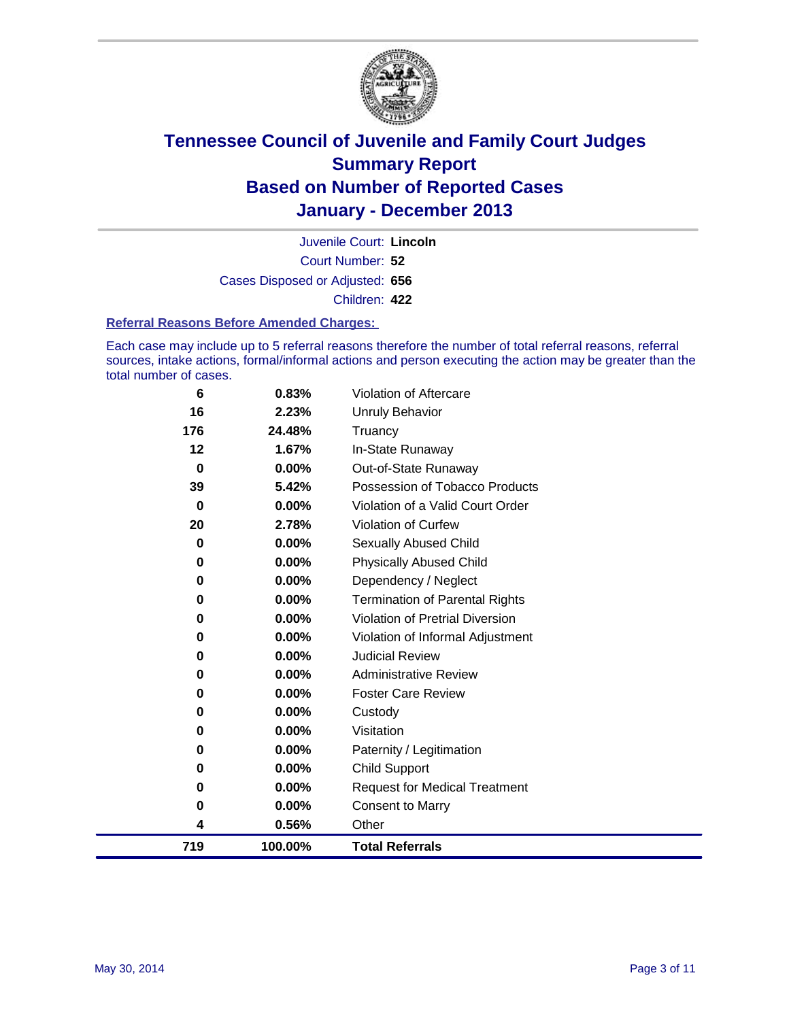

Court Number: **52** Juvenile Court: **Lincoln** Cases Disposed or Adjusted: **656** Children: **422**

#### **Referral Reasons Before Amended Charges:**

Each case may include up to 5 referral reasons therefore the number of total referral reasons, referral sources, intake actions, formal/informal actions and person executing the action may be greater than the total number of cases.

| 6   | 0.83%    | <b>Violation of Aftercare</b>          |
|-----|----------|----------------------------------------|
| 16  | 2.23%    | <b>Unruly Behavior</b>                 |
| 176 | 24.48%   | Truancy                                |
| 12  | 1.67%    | In-State Runaway                       |
| 0   | $0.00\%$ | Out-of-State Runaway                   |
| 39  | 5.42%    | Possession of Tobacco Products         |
| 0   | 0.00%    | Violation of a Valid Court Order       |
| 20  | 2.78%    | <b>Violation of Curfew</b>             |
| 0   | $0.00\%$ | Sexually Abused Child                  |
| 0   | $0.00\%$ | <b>Physically Abused Child</b>         |
| 0   | $0.00\%$ | Dependency / Neglect                   |
| 0   | $0.00\%$ | <b>Termination of Parental Rights</b>  |
| 0   | $0.00\%$ | <b>Violation of Pretrial Diversion</b> |
| 0   | 0.00%    | Violation of Informal Adjustment       |
| 0   | $0.00\%$ | <b>Judicial Review</b>                 |
| 0   | $0.00\%$ | <b>Administrative Review</b>           |
| 0   | 0.00%    | <b>Foster Care Review</b>              |
| 0   | 0.00%    | Custody                                |
| 0   | $0.00\%$ | Visitation                             |
| 0   | 0.00%    | Paternity / Legitimation               |
| 0   | 0.00%    | <b>Child Support</b>                   |
| 0   | 0.00%    | <b>Request for Medical Treatment</b>   |
| 0   | 0.00%    | <b>Consent to Marry</b>                |
| 4   | 0.56%    | Other                                  |
| 719 | 100.00%  | <b>Total Referrals</b>                 |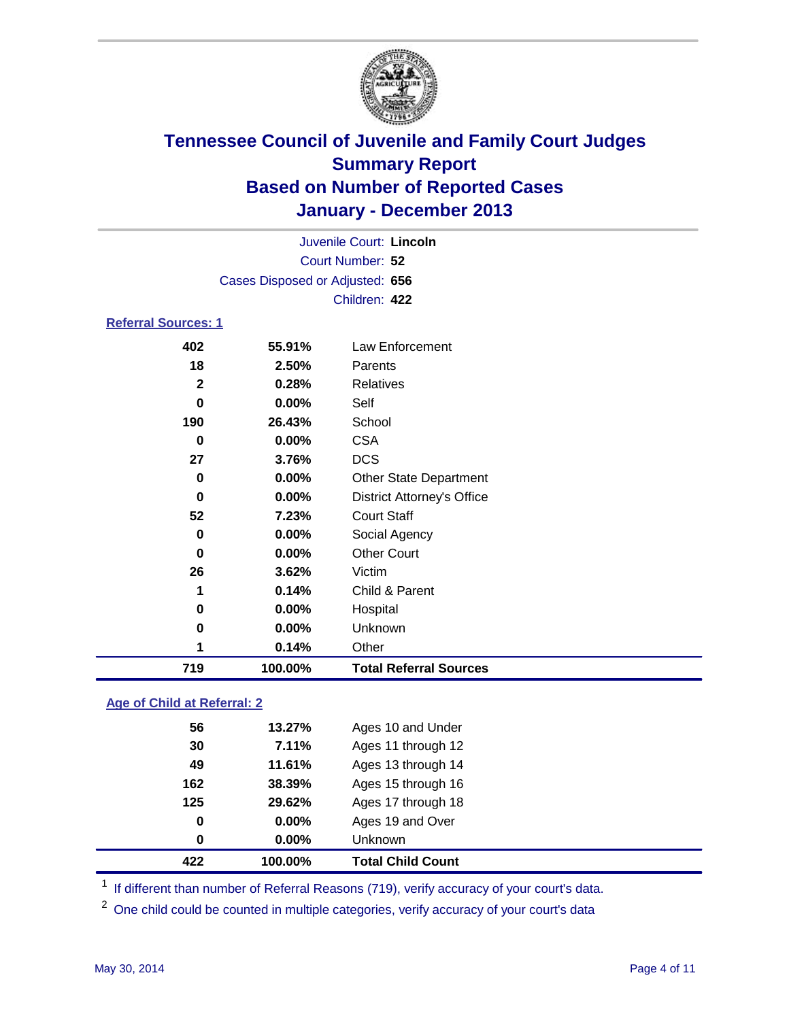

|                            | Juvenile Court: Lincoln         |                                   |  |  |
|----------------------------|---------------------------------|-----------------------------------|--|--|
|                            |                                 | Court Number: 52                  |  |  |
|                            | Cases Disposed or Adjusted: 656 |                                   |  |  |
|                            |                                 | Children: 422                     |  |  |
| <b>Referral Sources: 1</b> |                                 |                                   |  |  |
| 402                        | 55.91%                          | <b>Law Enforcement</b>            |  |  |
| 18                         | 2.50%                           | Parents                           |  |  |
| $\overline{2}$             | 0.28%                           | <b>Relatives</b>                  |  |  |
| $\bf{0}$                   | 0.00%                           | Self                              |  |  |
| 190                        | 26.43%                          | School                            |  |  |
| $\bf{0}$                   | 0.00%                           | <b>CSA</b>                        |  |  |
| 27                         | 3.76%                           | <b>DCS</b>                        |  |  |
| 0                          | 0.00%                           | <b>Other State Department</b>     |  |  |
| 0                          | 0.00%                           | <b>District Attorney's Office</b> |  |  |
| 52                         | 7.23%                           | <b>Court Staff</b>                |  |  |
| $\bf{0}$                   | 0.00%                           | Social Agency                     |  |  |
| 0                          | 0.00%                           | <b>Other Court</b>                |  |  |
| 26                         | 3.62%                           | Victim                            |  |  |
| 1                          | 0.14%                           | Child & Parent                    |  |  |
| 0                          | 0.00%                           | Hospital                          |  |  |
| 0                          | 0.00%                           | Unknown                           |  |  |
| 1                          | 0.14%                           | Other                             |  |  |
| 719                        | 100.00%                         | <b>Total Referral Sources</b>     |  |  |

### **Age of Child at Referral: 2**

| 422 | 100.00%  | <b>Total Child Count</b> |
|-----|----------|--------------------------|
| 0   | 0.00%    | <b>Unknown</b>           |
| 0   | $0.00\%$ | Ages 19 and Over         |
| 125 | 29.62%   | Ages 17 through 18       |
| 162 | 38.39%   | Ages 15 through 16       |
| 49  | 11.61%   | Ages 13 through 14       |
| 30  | 7.11%    | Ages 11 through 12       |
| 56  | 13.27%   | Ages 10 and Under        |

<sup>1</sup> If different than number of Referral Reasons (719), verify accuracy of your court's data.

<sup>2</sup> One child could be counted in multiple categories, verify accuracy of your court's data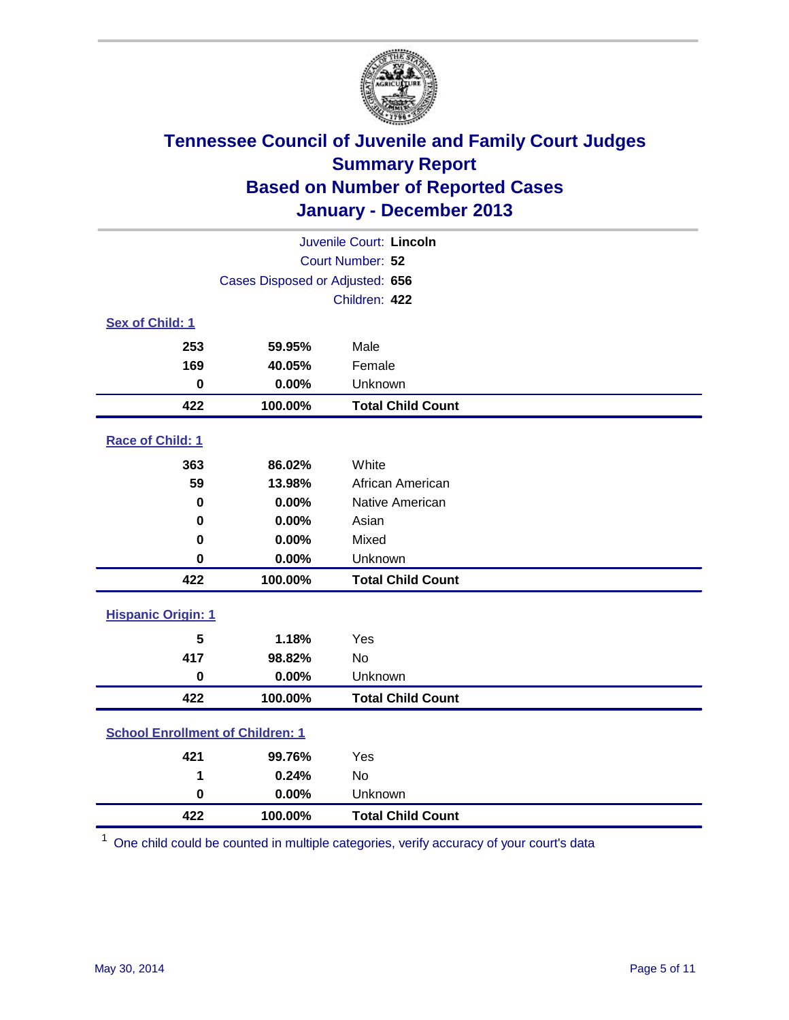

| Juvenile Court: Lincoln                 |                                 |                          |  |  |
|-----------------------------------------|---------------------------------|--------------------------|--|--|
|                                         |                                 | Court Number: 52         |  |  |
|                                         | Cases Disposed or Adjusted: 656 |                          |  |  |
|                                         |                                 | Children: 422            |  |  |
| Sex of Child: 1                         |                                 |                          |  |  |
| 253                                     | 59.95%                          | Male                     |  |  |
| 169                                     | 40.05%                          | Female                   |  |  |
| $\bf{0}$                                | 0.00%                           | Unknown                  |  |  |
| 422                                     | 100.00%                         | <b>Total Child Count</b> |  |  |
| Race of Child: 1                        |                                 |                          |  |  |
| 363                                     | 86.02%                          | White                    |  |  |
| 59                                      | 13.98%                          | African American         |  |  |
| 0                                       | 0.00%                           | Native American          |  |  |
| 0                                       | 0.00%                           | Asian                    |  |  |
| 0                                       | 0.00%                           | Mixed                    |  |  |
| 0                                       | 0.00%                           | Unknown                  |  |  |
| 422                                     | 100.00%                         | <b>Total Child Count</b> |  |  |
| <b>Hispanic Origin: 1</b>               |                                 |                          |  |  |
| 5                                       | 1.18%                           | Yes                      |  |  |
| 417                                     | 98.82%                          | <b>No</b>                |  |  |
| $\mathbf 0$                             | 0.00%                           | Unknown                  |  |  |
| 422                                     | 100.00%                         | <b>Total Child Count</b> |  |  |
| <b>School Enrollment of Children: 1</b> |                                 |                          |  |  |
| 421                                     | 99.76%                          | Yes                      |  |  |
| 1                                       | 0.24%                           | <b>No</b>                |  |  |
| $\mathbf 0$                             | 0.00%                           | Unknown                  |  |  |
| 422                                     | 100.00%                         | <b>Total Child Count</b> |  |  |

One child could be counted in multiple categories, verify accuracy of your court's data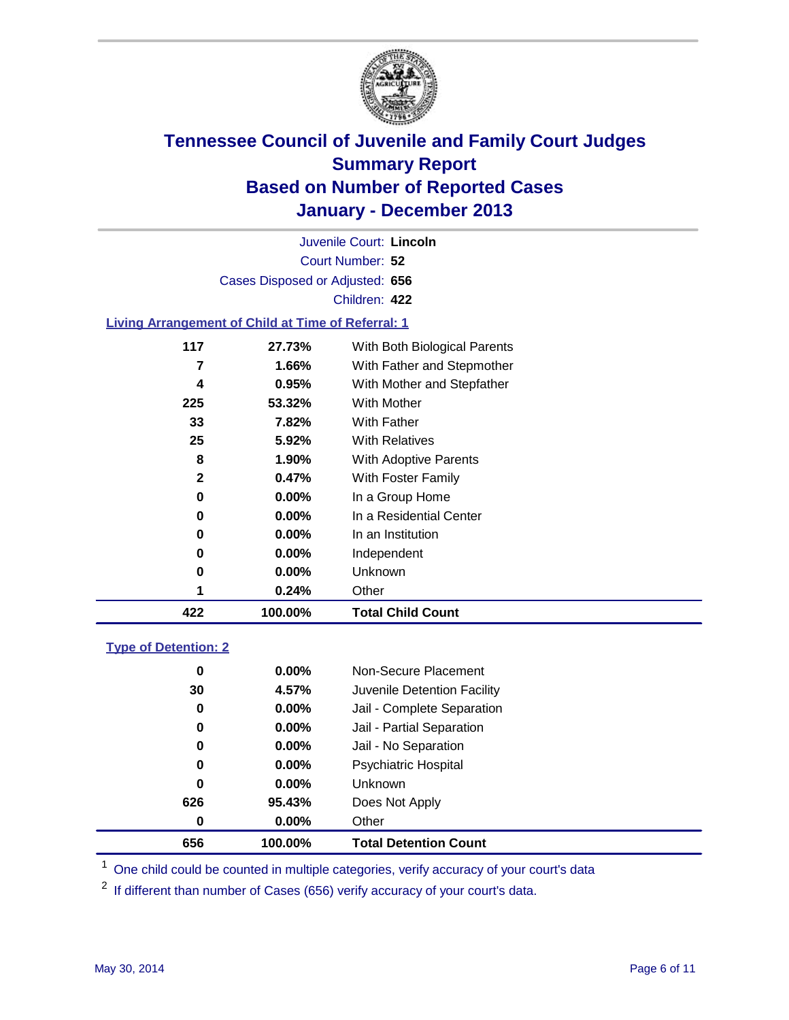

Court Number: **52** Juvenile Court: **Lincoln** Cases Disposed or Adjusted: **656** Children: **422**

### **Living Arrangement of Child at Time of Referral: 1**

| 422          | 100.00%  | <b>Total Child Count</b>     |  |
|--------------|----------|------------------------------|--|
|              | 0.24%    | Other                        |  |
| 0            | $0.00\%$ | Unknown                      |  |
| 0            | $0.00\%$ | Independent                  |  |
| 0            | $0.00\%$ | In an Institution            |  |
| 0            | $0.00\%$ | In a Residential Center      |  |
| 0            | $0.00\%$ | In a Group Home              |  |
| $\mathbf{2}$ | 0.47%    | With Foster Family           |  |
| 8            | 1.90%    | <b>With Adoptive Parents</b> |  |
| 25           | 5.92%    | <b>With Relatives</b>        |  |
| 33           | 7.82%    | With Father                  |  |
| 225          | 53.32%   | With Mother                  |  |
| 4            | 0.95%    | With Mother and Stepfather   |  |
| 7            | 1.66%    | With Father and Stepmother   |  |
| 117          | 27.73%   | With Both Biological Parents |  |
|              |          |                              |  |

#### **Type of Detention: 2**

| 656 | 100.00%  | <b>Total Detention Count</b> |  |
|-----|----------|------------------------------|--|
| 0   | 0.00%    | Other                        |  |
| 626 | 95.43%   | Does Not Apply               |  |
| 0   | $0.00\%$ | <b>Unknown</b>               |  |
| 0   | $0.00\%$ | <b>Psychiatric Hospital</b>  |  |
| 0   | $0.00\%$ | Jail - No Separation         |  |
| 0   | $0.00\%$ | Jail - Partial Separation    |  |
| 0   | 0.00%    | Jail - Complete Separation   |  |
| 30  | 4.57%    | Juvenile Detention Facility  |  |
| 0   | $0.00\%$ | Non-Secure Placement         |  |
|     |          |                              |  |

<sup>1</sup> One child could be counted in multiple categories, verify accuracy of your court's data

If different than number of Cases (656) verify accuracy of your court's data.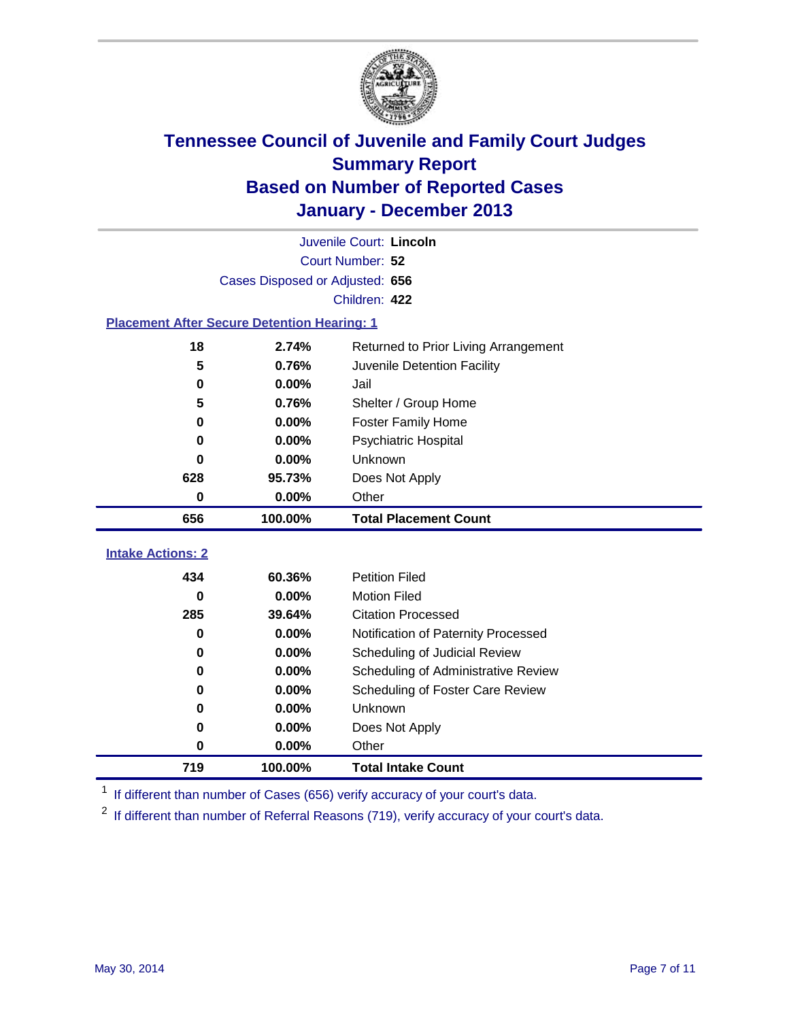

|                                                    | Juvenile Court: Lincoln         |                                      |  |  |  |
|----------------------------------------------------|---------------------------------|--------------------------------------|--|--|--|
|                                                    | Court Number: 52                |                                      |  |  |  |
|                                                    | Cases Disposed or Adjusted: 656 |                                      |  |  |  |
|                                                    |                                 | Children: 422                        |  |  |  |
| <b>Placement After Secure Detention Hearing: 1</b> |                                 |                                      |  |  |  |
| 18                                                 | 2.74%                           | Returned to Prior Living Arrangement |  |  |  |
| 5                                                  | 0.76%                           | Juvenile Detention Facility          |  |  |  |
| $\bf{0}$                                           | 0.00%                           | Jail                                 |  |  |  |
| 5                                                  | 0.76%                           | Shelter / Group Home                 |  |  |  |
| 0                                                  | 0.00%                           | <b>Foster Family Home</b>            |  |  |  |
| $\bf{0}$                                           | 0.00%                           | Psychiatric Hospital                 |  |  |  |
| 0                                                  | 0.00%                           | Unknown                              |  |  |  |
| 628                                                | 95.73%                          | Does Not Apply                       |  |  |  |
| $\bf{0}$                                           | 0.00%                           | Other                                |  |  |  |
|                                                    |                                 |                                      |  |  |  |
| 656                                                | 100.00%                         | <b>Total Placement Count</b>         |  |  |  |
|                                                    |                                 |                                      |  |  |  |
|                                                    |                                 |                                      |  |  |  |
| 434                                                | 60.36%                          | <b>Petition Filed</b>                |  |  |  |
| $\bf{0}$                                           | 0.00%                           | <b>Motion Filed</b>                  |  |  |  |
| 285                                                | 39.64%                          | <b>Citation Processed</b>            |  |  |  |
| $\bf{0}$                                           | 0.00%                           | Notification of Paternity Processed  |  |  |  |
| $\bf{0}$                                           | 0.00%                           | Scheduling of Judicial Review        |  |  |  |
| $\bf{0}$                                           | 0.00%                           | Scheduling of Administrative Review  |  |  |  |
| 0                                                  | 0.00%                           | Scheduling of Foster Care Review     |  |  |  |
| 0                                                  | 0.00%                           | Unknown                              |  |  |  |
| $\bf{0}$                                           | 0.00%                           | Does Not Apply                       |  |  |  |
| <b>Intake Actions: 2</b><br>0                      | 0.00%                           | Other                                |  |  |  |

<sup>1</sup> If different than number of Cases (656) verify accuracy of your court's data.

<sup>2</sup> If different than number of Referral Reasons (719), verify accuracy of your court's data.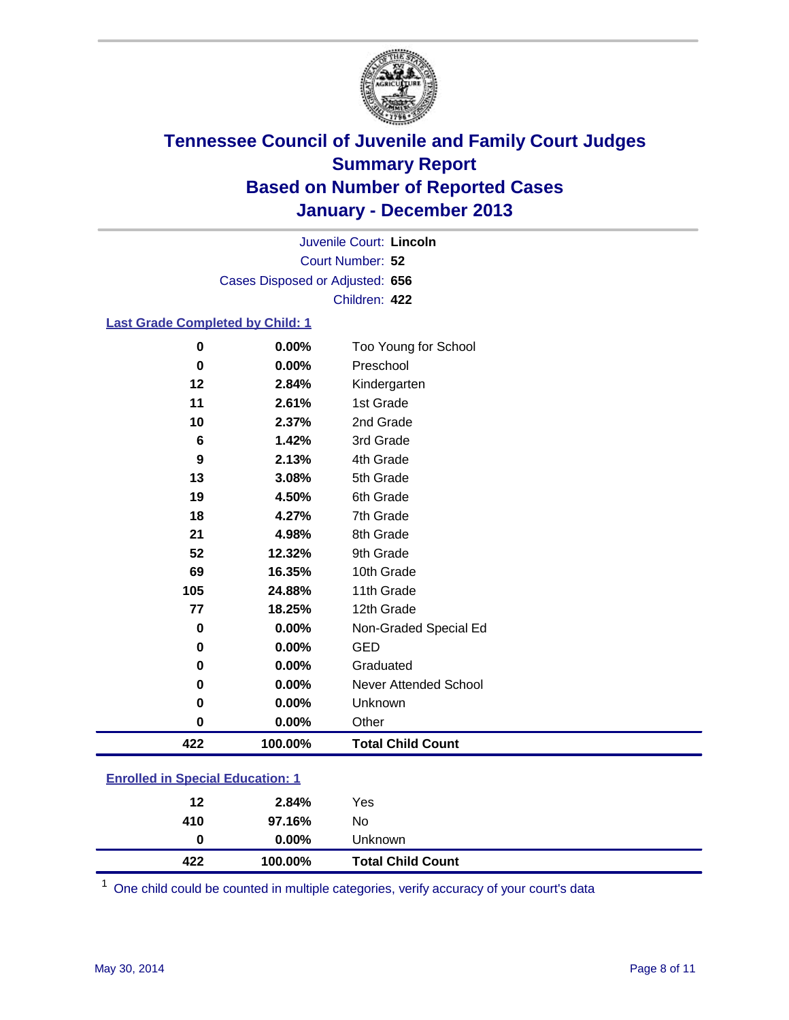

Court Number: **52** Juvenile Court: **Lincoln** Cases Disposed or Adjusted: **656** Children: **422**

#### **Last Grade Completed by Child: 1**

| 422      | 100.00% | <b>Total Child Count</b> |
|----------|---------|--------------------------|
| 0        | 0.00%   | Other                    |
| 0        | 0.00%   | Unknown                  |
| 0        | 0.00%   | Never Attended School    |
| $\bf{0}$ | 0.00%   | Graduated                |
| $\bf{0}$ | 0.00%   | <b>GED</b>               |
| 0        | 0.00%   | Non-Graded Special Ed    |
| 77       | 18.25%  | 12th Grade               |
| 105      | 24.88%  | 11th Grade               |
| 69       | 16.35%  | 10th Grade               |
| 52       | 12.32%  | 9th Grade                |
| 21       | 4.98%   | 8th Grade                |
| 18       | 4.27%   | 7th Grade                |
| 19       | 4.50%   | 6th Grade                |
| 13       | 3.08%   | 5th Grade                |
| 9        | 2.13%   | 4th Grade                |
| 6        | 1.42%   | 3rd Grade                |
| 10       | 2.37%   | 2nd Grade                |
| 11       | 2.61%   | 1st Grade                |
| 12       | 2.84%   | Kindergarten             |
| 0        | 0.00%   | Preschool                |
| $\bf{0}$ | 0.00%   | Too Young for School     |

| <b>Enrolled in Special Education: 1</b> |                      |  |
|-----------------------------------------|----------------------|--|
|                                         | $\sim$ $\sim$ $\sim$ |  |

| 12  | 2.84%    | Yes                      |
|-----|----------|--------------------------|
| 410 | 97.16%   | No                       |
| 0   | $0.00\%$ | Unknown                  |
| 422 | 100.00%  | <b>Total Child Count</b> |

One child could be counted in multiple categories, verify accuracy of your court's data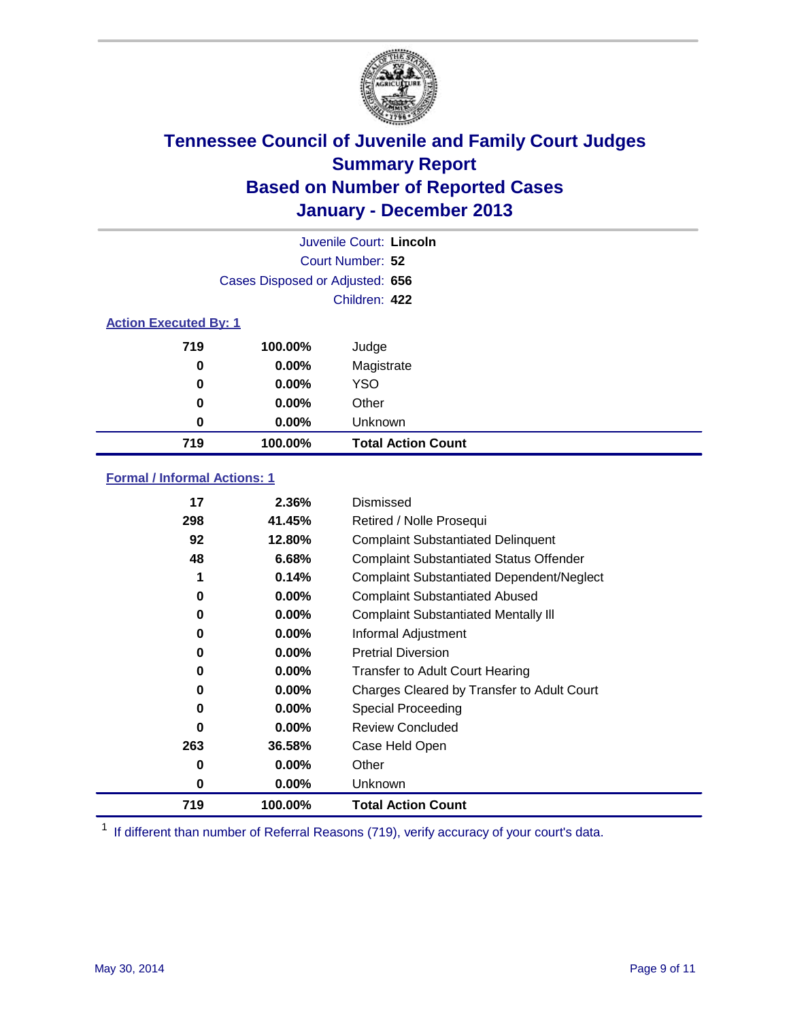

|                              |                                 | Juvenile Court: Lincoln   |
|------------------------------|---------------------------------|---------------------------|
|                              |                                 | Court Number: 52          |
|                              | Cases Disposed or Adjusted: 656 |                           |
|                              |                                 | Children: 422             |
| <b>Action Executed By: 1</b> |                                 |                           |
| 719                          | 100.00%                         | Judge                     |
| 0                            | $0.00\%$                        | Magistrate                |
| 0                            | $0.00\%$                        | <b>YSO</b>                |
| 0                            | $0.00\%$                        | Other                     |
| 0                            | $0.00\%$                        | Unknown                   |
| 719                          | 100.00%                         | <b>Total Action Count</b> |

### **Formal / Informal Actions: 1**

| 17  | 2.36%    | Dismissed                                        |
|-----|----------|--------------------------------------------------|
| 298 | 41.45%   | Retired / Nolle Prosequi                         |
| 92  | 12.80%   | <b>Complaint Substantiated Delinquent</b>        |
| 48  | 6.68%    | <b>Complaint Substantiated Status Offender</b>   |
| 1   | 0.14%    | <b>Complaint Substantiated Dependent/Neglect</b> |
| 0   | $0.00\%$ | <b>Complaint Substantiated Abused</b>            |
| 0   | $0.00\%$ | <b>Complaint Substantiated Mentally III</b>      |
| 0   | $0.00\%$ | Informal Adjustment                              |
| 0   | $0.00\%$ | <b>Pretrial Diversion</b>                        |
| 0   | 0.00%    | <b>Transfer to Adult Court Hearing</b>           |
| 0   | $0.00\%$ | Charges Cleared by Transfer to Adult Court       |
| 0   | $0.00\%$ | Special Proceeding                               |
| 0   | $0.00\%$ | <b>Review Concluded</b>                          |
| 263 | 36.58%   | Case Held Open                                   |
| 0   | $0.00\%$ | Other                                            |
| 0   | $0.00\%$ | Unknown                                          |
| 719 | 100.00%  | <b>Total Action Count</b>                        |

<sup>1</sup> If different than number of Referral Reasons (719), verify accuracy of your court's data.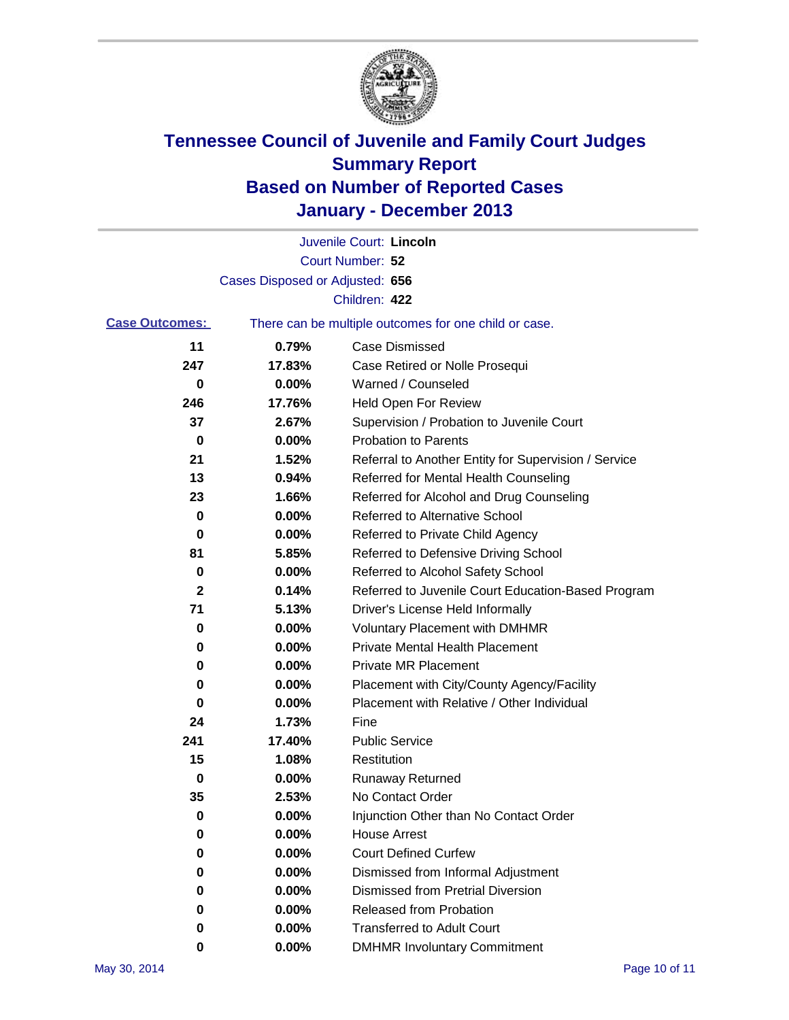

|                       |                                 | Juvenile Court: Lincoln                               |
|-----------------------|---------------------------------|-------------------------------------------------------|
|                       |                                 | Court Number: 52                                      |
|                       | Cases Disposed or Adjusted: 656 |                                                       |
|                       |                                 | Children: 422                                         |
| <b>Case Outcomes:</b> |                                 | There can be multiple outcomes for one child or case. |
| 11                    | 0.79%                           | Case Dismissed                                        |
| 247                   | 17.83%                          | Case Retired or Nolle Prosequi                        |
| 0                     | 0.00%                           | Warned / Counseled                                    |
| 246                   | 17.76%                          | <b>Held Open For Review</b>                           |
| 37                    | 2.67%                           | Supervision / Probation to Juvenile Court             |
| 0                     | 0.00%                           | <b>Probation to Parents</b>                           |
| 21                    | 1.52%                           | Referral to Another Entity for Supervision / Service  |
| 13                    | 0.94%                           | Referred for Mental Health Counseling                 |
| 23                    | 1.66%                           | Referred for Alcohol and Drug Counseling              |
| 0                     | 0.00%                           | Referred to Alternative School                        |
| 0                     | 0.00%                           | Referred to Private Child Agency                      |
| 81                    | 5.85%                           | Referred to Defensive Driving School                  |
| 0                     | 0.00%                           | Referred to Alcohol Safety School                     |
| 2                     | 0.14%                           | Referred to Juvenile Court Education-Based Program    |
| 71                    | 5.13%                           | Driver's License Held Informally                      |
| 0                     | 0.00%                           | <b>Voluntary Placement with DMHMR</b>                 |
| 0                     | 0.00%                           | <b>Private Mental Health Placement</b>                |
| 0                     | 0.00%                           | <b>Private MR Placement</b>                           |
| 0                     | 0.00%                           | Placement with City/County Agency/Facility            |
| 0                     | 0.00%                           | Placement with Relative / Other Individual            |
| 24                    | 1.73%                           | Fine                                                  |
| 241                   | 17.40%                          | <b>Public Service</b>                                 |
| 15                    | 1.08%                           | Restitution                                           |
| 0                     | 0.00%                           | <b>Runaway Returned</b>                               |
| 35                    | 2.53%                           | No Contact Order                                      |
| 0                     | 0.00%                           | Injunction Other than No Contact Order                |
| 0                     | 0.00%                           | <b>House Arrest</b>                                   |
| 0                     | 0.00%                           | <b>Court Defined Curfew</b>                           |
| 0                     | 0.00%                           | Dismissed from Informal Adjustment                    |
| 0                     | 0.00%                           | <b>Dismissed from Pretrial Diversion</b>              |
| 0                     | 0.00%                           | Released from Probation                               |
| 0                     | 0.00%                           | <b>Transferred to Adult Court</b>                     |
| 0                     | 0.00%                           | <b>DMHMR Involuntary Commitment</b>                   |